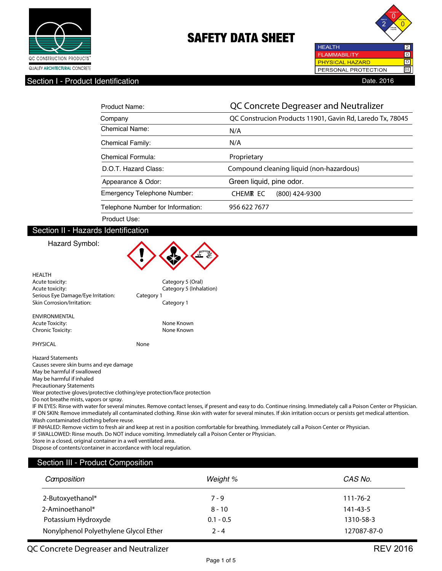



Section I - Product Identification **Date.** 2016

| Product Name:                     | QC Concrete Degreaser and Neutralizer                     |
|-----------------------------------|-----------------------------------------------------------|
| Company                           | QC Construcion Products 11901, Gavin Rd, Laredo Tx, 78045 |
| Chemical Name:                    | N/A                                                       |
| <b>Chemical Family:</b>           | N/A                                                       |
| Chemical Formula:                 | Proprietary                                               |
| D.O.T. Hazard Class:              | Compound cleaning liquid (non-hazardous)                  |
| Appearance & Odor:                | Green liquid, pine odor.                                  |
| Emergency Telephone Number:       | CHEMR EC<br>(800) 424-9300                                |
| Telephone Number for Information: | 956 622 7677                                              |
| Product Use:                      |                                                           |

## Section II - Hazards Identification

#### Hazard Symbol:

|                                                                           |            | w                                                                                                                                                                    |
|---------------------------------------------------------------------------|------------|----------------------------------------------------------------------------------------------------------------------------------------------------------------------|
| <b>HEALTH</b>                                                             |            |                                                                                                                                                                      |
| Acute toxicity:                                                           |            | Category 5 (Oral)                                                                                                                                                    |
| Acute toxicity:                                                           |            | Category 5 (Inhalation)                                                                                                                                              |
| Serious Eye Damage/Eye Irritation:                                        | Category 1 |                                                                                                                                                                      |
| <b>Skin Corrosion/Irritation:</b>                                         |            | Category 1                                                                                                                                                           |
| <b>ENVIRONMENTAL</b>                                                      |            |                                                                                                                                                                      |
| <b>Acute Toxicity:</b>                                                    |            | None Known                                                                                                                                                           |
| Chronic Toxicity:                                                         |            | None Known                                                                                                                                                           |
| PHYSICAL                                                                  | None       |                                                                                                                                                                      |
| <b>Hazard Statements</b>                                                  |            |                                                                                                                                                                      |
| Causes severe skin burns and eye damage                                   |            |                                                                                                                                                                      |
| May be harmful if swallowed                                               |            |                                                                                                                                                                      |
| May be harmful if inhaled                                                 |            |                                                                                                                                                                      |
| <b>Precautionary Statements</b>                                           |            |                                                                                                                                                                      |
| Wear protective gloves/protective clothing/eye protection/face protection |            |                                                                                                                                                                      |
| Do not breathe mists, vapors or spray.                                    |            |                                                                                                                                                                      |
|                                                                           |            | IF IN EYES: Rinse with water for several minutes. Remove contact lenses, if present and easy to do. Continue rinsing. Immediately call a Poison Center or Physician. |
|                                                                           |            | IF ON SKIN: Remove immediately all contaminated clothing. Rinse skin with water for several minutes. If skin irritation occurs or persists get medical attention.    |
| Wash contaminated clothing before reuse.                                  |            |                                                                                                                                                                      |

IF INHALED: Remove victim to fresh air and keep at rest in a position comfortable for breathing. Immediately call a Poison Center or Physician.

A E

IF SWALLOWED: Rinse mouth. Do NOT induce vomiting. Immediately call a Poison Center or Physician.

Store in a closed, original container in a well ventilated area.

Dispose of contents/container in accordance with local regulation.

#### Section III - Product Composition

| Camposition                           | Weight %    | CAS No.        |
|---------------------------------------|-------------|----------------|
| 2-Butoxyethanol*                      | $7 - 9$     | $111 - 76 - 2$ |
| 2-Aminoethanol*                       | $8 - 10$    | 141-43-5       |
| Potassium Hydroxyde                   | $0.1 - 0.5$ | 1310-58-3      |
| Nonylphenol Polyethylene Glycol Ether | $2 - 4$     | 127087-87-0    |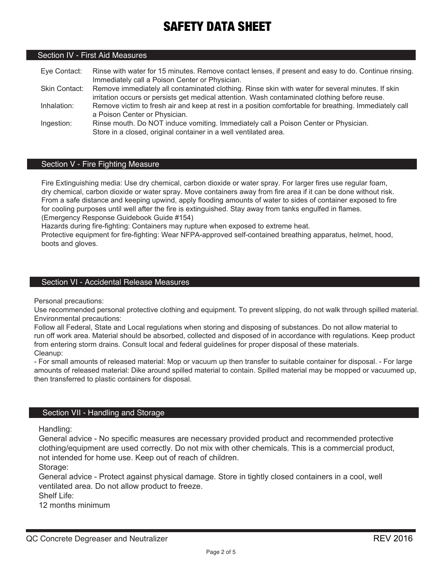# Section IV - First Aid Measures

Eye Contact: Rinse with water for 15 minutes. Remove contact lenses, if present and easy to do. Continue rinsing. Immediately call a Poison Center or Physician. Skin Contact: Remove immediately all contaminated clothing. Rinse skin with water for several minutes. If skin irritation occurs or persists get medical attention. Wash contaminated clothing before reuse. Inhalation: Remove victim to fresh air and keep at rest in a position comfortable for breathing. Immediately call a Poison Center or Physician. Ingestion: Rinse mouth. Do NOT induce vomiting. Immediately call a Poison Center or Physician. Store in a closed, original container in a well ventilated area.

## Section V - Fire Fighting Measure

Fire Extinguishing media: Use dry chemical, carbon dioxide or water spray. For larger fires use regular foam, dry chemical, carbon dioxide or water spray. Move containers away from fire area if it can be done without risk. From a safe distance and keeping upwind, apply flooding amounts of water to sides of container exposed to fire for cooling purposes until well after the fire is extinguished. Stay away from tanks engulfed in flames. (Emergency Response Guidebook Guide #154)

Hazards during fire-fighting: Containers may rupture when exposed to extreme heat.

Protective equipment for fire-fighting: Wear NFPA-approved self-contained breathing apparatus, helmet, hood, boots and gloves.

# Section VI - Accidental Release Measures

Personal precautions:

Use recommended personal protective clothing and equipment. To prevent slipping, do not walk through spilled material. Environmental precautions:

Follow all Federal, State and Local regulations when storing and disposing of substances. Do not allow material to run off work area. Material should be absorbed, collected and disposed of in accordance with regulations. Keep product from entering storm drains. Consult local and federal guidelines for proper disposal of these materials. Cleanup:

- For small amounts of released material: Mop or vacuum up then transfer to suitable container for disposal. - For large amounts of released material: Dike around spilled material to contain. Spilled material may be mopped or vacuumed up, then transferred to plastic containers for disposal.

### Section VII - Handling and Storage

Handling:

General advice - No specific measures are necessary provided product and recommended protective clothing/equipment are used correctly. Do not mix with other chemicals. This is a commercial product, not intended for home use. Keep out of reach of children.

Storage:

General advice - Protect against physical damage. Store in tightly closed containers in a cool, well ventilated area. Do not allow product to freeze.

Shelf Life:

12 months minimum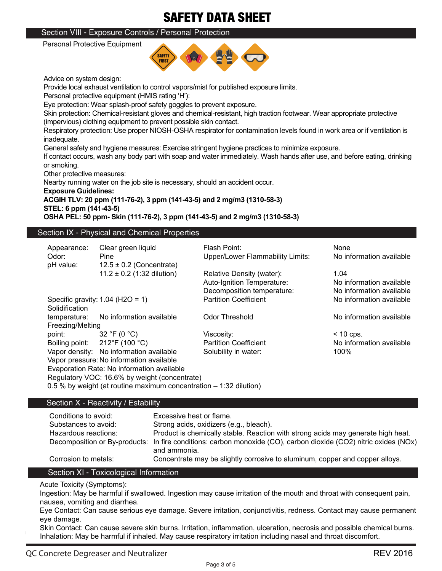# Section VIII - Exposure Controls / Personal Protection

Personal Protective Equipment



Advice on system design:

Provide local exhaust ventilation to control vapors/mist for published exposure limits.

Personal protective equipment (HMIS rating 'H'):

Eye protection: Wear splash-proof safety goggles to prevent exposure.

Skin protection: Chemical-resistant gloves and chemical-resistant, high traction footwear. Wear appropriate protective (impervious) clothing equipment to prevent possible skin contact.

Respiratory protection: Use proper NIOSH-OSHA respirator for contamination levels found in work area or if ventilation is inadequate.

General safety and hygiene measures: Exercise stringent hygiene practices to minimize exposure.

If contact occurs, wash any body part with soap and water immediately. Wash hands after use, and before eating, drinking or smoking.

Other protective measures:

Nearby running water on the job site is necessary, should an accident occur.

**Exposure Guidelines:**

## **ACGIH TLV: 20 ppm (111-76-2), 3 ppm (141-43-5) and 2 mg/m3 (1310-58-3) STEL: 6 ppm (141-43-5)**

**OSHA PEL: 50 ppm- Skin (111-76-2), 3 ppm (141-43-5) and 2 mg/m3 (1310-58-3)**

# Section IX - Physical and Chemical Properties

| Appearance:                                   | Clear green liquid                                                   | Flash Point:                            | None                     |
|-----------------------------------------------|----------------------------------------------------------------------|-----------------------------------------|--------------------------|
| Odor:                                         | Pine                                                                 | <b>Upper/Lower Flammability Limits:</b> | No information available |
| pH value:                                     | $12.5 \pm 0.2$ (Concentrate)                                         |                                         |                          |
|                                               | $11.2 \pm 0.2$ (1:32 dilution)                                       | Relative Density (water):               | 1.04                     |
|                                               |                                                                      | Auto-Ignition Temperature:              | No information available |
|                                               |                                                                      | Decomposition temperature:              | No information available |
|                                               | Specific gravity: $1.04$ (H2O = 1)                                   | <b>Partition Coefficient</b>            | No information available |
| Solidification                                |                                                                      |                                         |                          |
| temperature:                                  | No information available                                             | <b>Odor Threshold</b>                   | No information available |
| Freezing/Melting                              |                                                                      |                                         |                          |
| point:                                        | 32 °F (0 $^{\circ}$ C)                                               | Viscosity:                              | $<$ 10 cps.              |
|                                               | Boiling point: $212^{\circ}F(100^{\circ}C)$                          | <b>Partition Coefficient</b>            | No information available |
|                                               | Vapor density: No information available                              | Solubility in water:                    | 100%                     |
|                                               | Vapor pressure: No information available                             |                                         |                          |
|                                               | Evaporation Rate: No information available                           |                                         |                          |
| Regulatory VOC: 16.6% by weight (concentrate) |                                                                      |                                         |                          |
|                                               | 0.5 % by weight (at routine maximum concentration $-$ 1:32 dilution) |                                         |                          |
|                                               |                                                                      |                                         |                          |

# Section X - Reactivity / Estability

| Conditions to avoid: | Excessive heat or flame.                                                                                                         |
|----------------------|----------------------------------------------------------------------------------------------------------------------------------|
| Substances to avoid: | Strong acids, oxidizers (e.g., bleach).                                                                                          |
| Hazardous reactions: | Product is chemically stable. Reaction with strong acids may generate high heat.                                                 |
|                      | Decomposition or By-products: In fire conditions: carbon monoxide (CO), carbon dioxide (CO2) nitric oxides (NOx)<br>and ammonia. |
| Corrosion to metals: | Concentrate may be slightly corrosive to aluminum, copper and copper alloys.                                                     |

# Section XI - Toxicological Information

Acute Toxicity (Symptoms):

Ingestion: May be harmful if swallowed. Ingestion may cause irritation of the mouth and throat with consequent pain, nausea, vomiting and diarrhea.

Eye Contact: Can cause serious eye damage. Severe irritation, conjunctivitis, redness. Contact may cause permanent eye damage.

Skin Contact: Can cause severe skin burns. Irritation, inflammation, ulceration, necrosis and possible chemical burns. Inhalation: May be harmful if inhaled. May cause respiratory irritation including nasal and throat discomfort.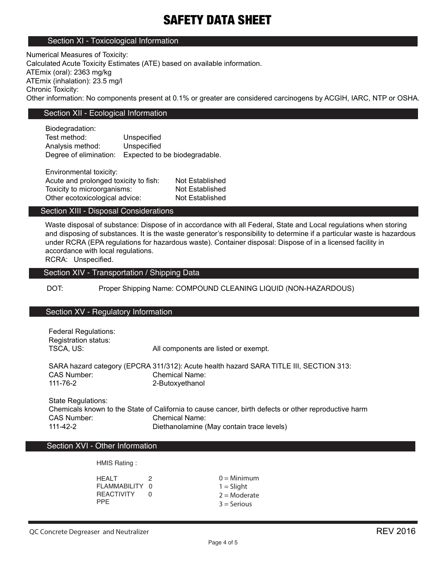#### Section XI - Toxicological Information

Numerical Measures of Toxicity: Calculated Acute Toxicity Estimates (ATE) based on available information. ATEmix (oral): 2363 mg/kg ATEmix (inhalation): 23.5 mg/l Chronic Toxicity: Other information: No components present at 0.1% or greater are considered carcinogens by ACGIH, IARC, NTP or OSHA.

# Section XII - Ecological Information

Biodegradation: Test method: Unspecified Analysis method: Unspecified Degree of elimination: Expected to be biodegradable.

Environmental toxicity: Acute and prolonged toxicity to fish: Not Established Toxicity to microorganisms: Not Established Other ecotoxicological advice: Not Established

## Section XIII - Disposal Considerations

Waste disposal of substance: Dispose of in accordance with all Federal, State and Local regulations when storing and disposing of substances. It is the waste generator's responsibility to determine if a particular waste is hazardous under RCRA (EPA regulations for hazardous waste). Container disposal: Dispose of in a licensed facility in accordance with local regulations.

RCRA: Unspecified.

## Section XIV - Transportation / Shipping Data

DOT: Proper Shipping Name: COMPOUND CLEANING LIQUID (NON-HAZARDOUS)

#### Section XV - Regulatory Information

| <b>Federal Regulations:</b> |                                                                                                      |  |
|-----------------------------|------------------------------------------------------------------------------------------------------|--|
| Registration status:        |                                                                                                      |  |
| TSCA, US:                   | All components are listed or exempt.                                                                 |  |
|                             | SARA hazard category (EPCRA 311/312): Acute health hazard SARA TITLE III, SECTION 313:               |  |
| CAS Number:                 | <b>Chemical Name:</b>                                                                                |  |
| 111-76-2                    | 2-Butoxyethanol                                                                                      |  |
| State Regulations:          |                                                                                                      |  |
|                             | Chemicals known to the State of California to cause cancer, birth defects or other reproductive harm |  |
| CAS Number:                 | <b>Chemical Name:</b>                                                                                |  |

111-42-2 Diethanolamine (May contain trace levels)

#### Section XVI - Other Information

HMIS Rating :

HFALT 2 FLAMMABILITY 0 REACTIVITY 0 PPE

 $0 =$ Minimum  $1 =$  Slight  $2 =$ Moderate  $3 =$  Serious